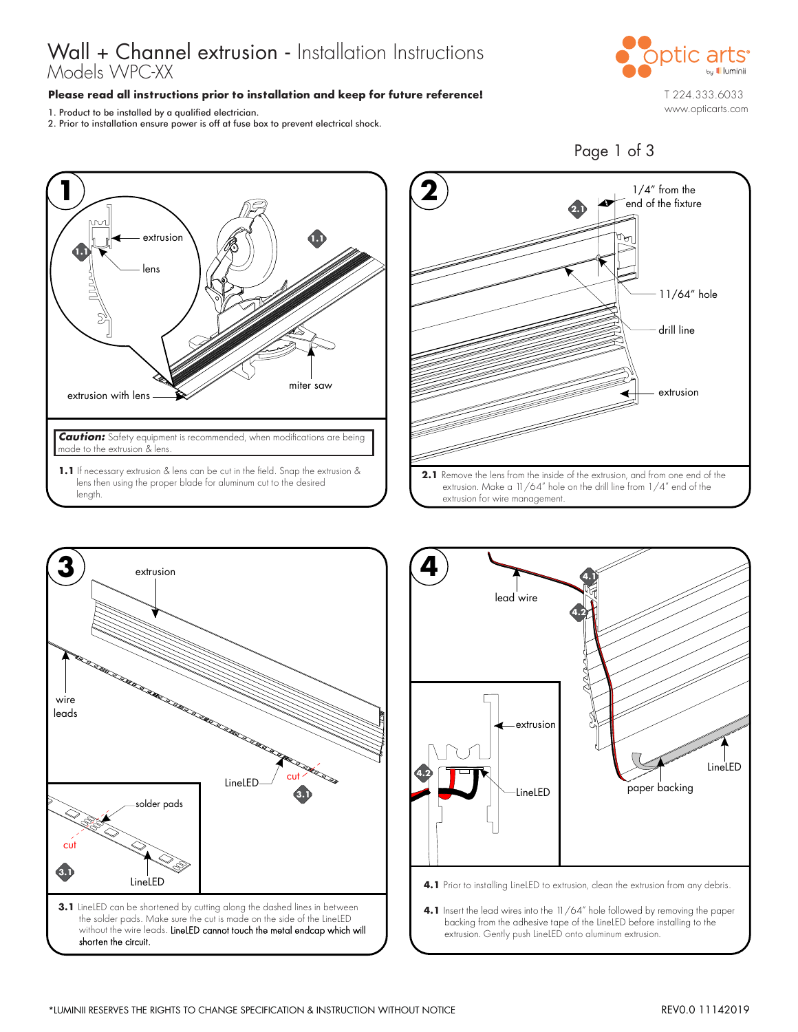# Wall + Channel extrusion - Installation Instructions Models WPC-XX

### **Please read all instructions prior to installation and keep for future reference!**

1. Product to be installed by a qualified electrician.

2. Prior to installation ensure power is off at fuse box to prevent electrical shock.









**4.1** Insert the lead wires into the 11/64" hole followed by removing the paper backing from the adhesive tape of the LineLED before installing to the extrusion. Gently push LineLED onto aluminum extrusion.

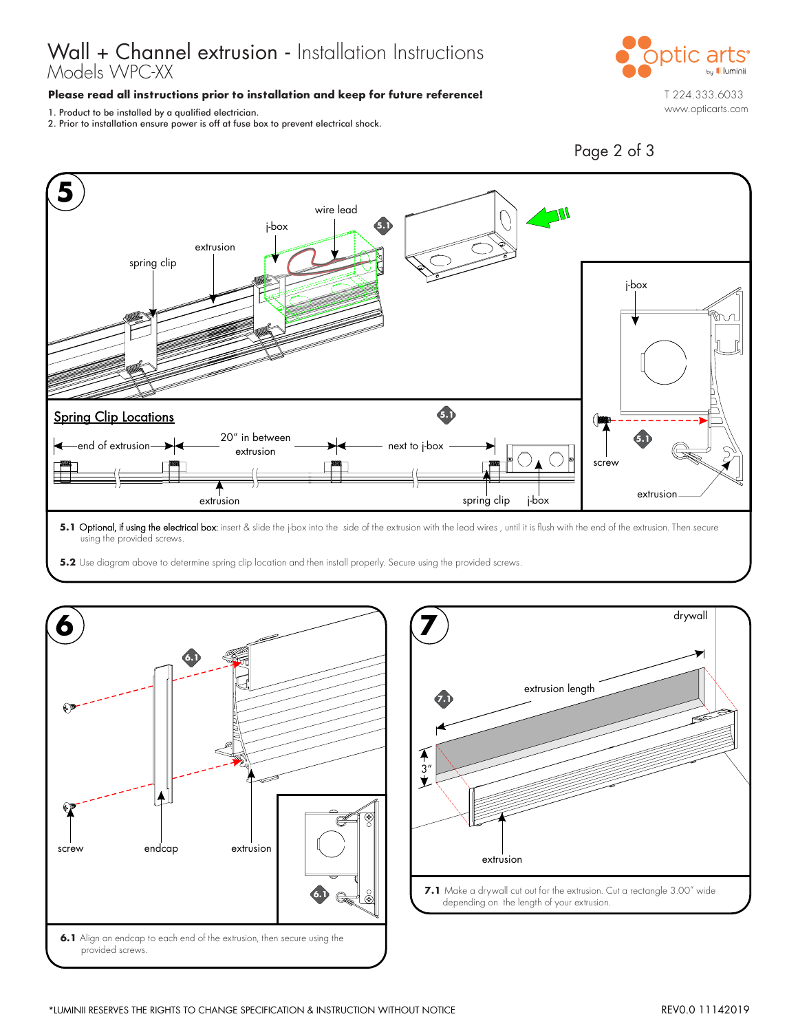# Wall + Channel extrusion - Installation Instructions Models WPC-XX

#### **Please read all instructions prior to installation and keep for future reference!**

1. Product to be installed by a qualified electrician.

2. Prior to installation ensure power is off at fuse box to prevent electrical shock.



Page 2 of 3



**5.1 Optional, if using the electrical box:** insert & slide the j-box into the side of the extrusion with the lead wires , until it is flush with the end of the extrusion. Then secure using the provided screws.

**5.2** Use diagram above to determine spring clip location and then install properly. Secure using the provided screws.